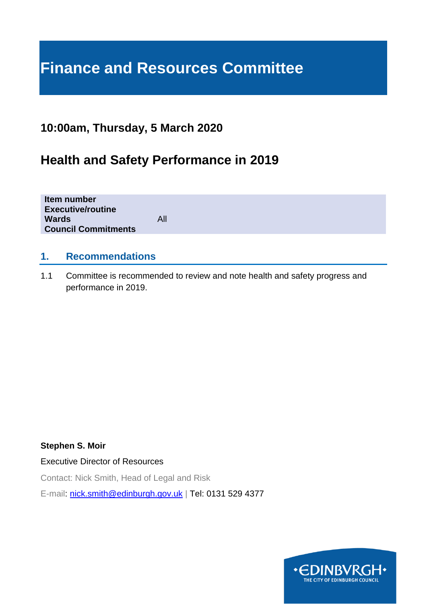# **Finance and Resources Committee**

# **10:00am, Thursday, 5 March 2020**

# **Health and Safety Performance in 2019**

|  | Item number<br><b>Executive/routine</b><br><b>Wards</b><br><b>Council Commitments</b> | All |
|--|---------------------------------------------------------------------------------------|-----|
|--|---------------------------------------------------------------------------------------|-----|

#### **1. Recommendations**

1.1 Committee is recommended to review and note health and safety progress and performance in 2019.

**Stephen S. Moir**

Executive Director of Resources

Contact: Nick Smith, Head of Legal and Risk

E-mail: [nick.smith@edinburgh.gov.uk](mailto:nick.smith@edinburgh.gov.uk) | Tel: 0131 529 4377

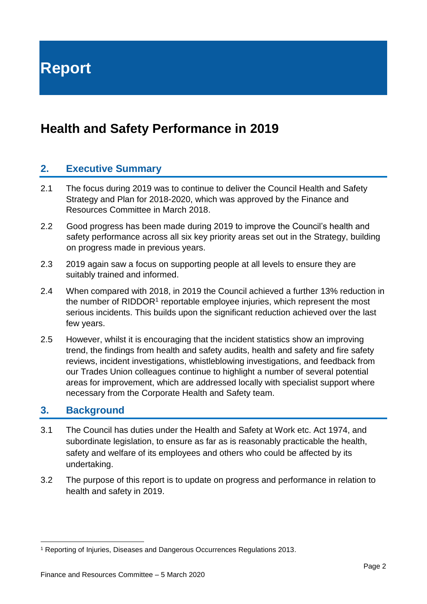**Report**

# **Health and Safety Performance in 2019**

### **2. Executive Summary**

- 2.1 The focus during 2019 was to continue to deliver the Council Health and Safety Strategy and Plan for 2018-2020, which was approved by the Finance and Resources Committee in March 2018.
- 2.2 Good progress has been made during 2019 to improve the Council's health and safety performance across all six key priority areas set out in the Strategy, building on progress made in previous years.
- 2.3 2019 again saw a focus on supporting people at all levels to ensure they are suitably trained and informed.
- 2.4 When compared with 2018, in 2019 the Council achieved a further 13% reduction in the number of RIDDOR<sup>1</sup> reportable employee injuries, which represent the most serious incidents. This builds upon the significant reduction achieved over the last few years.
- 2.5 However, whilst it is encouraging that the incident statistics show an improving trend, the findings from health and safety audits, health and safety and fire safety reviews, incident investigations, whistleblowing investigations, and feedback from our Trades Union colleagues continue to highlight a number of several potential areas for improvement, which are addressed locally with specialist support where necessary from the Corporate Health and Safety team.

#### **3. Background**

- 3.1 The Council has duties under the Health and Safety at Work etc. Act 1974, and subordinate legislation, to ensure as far as is reasonably practicable the health, safety and welfare of its employees and others who could be affected by its undertaking.
- 3.2 The purpose of this report is to update on progress and performance in relation to health and safety in 2019.

<sup>1</sup> <sup>1</sup> Reporting of Injuries, Diseases and Dangerous Occurrences Regulations 2013.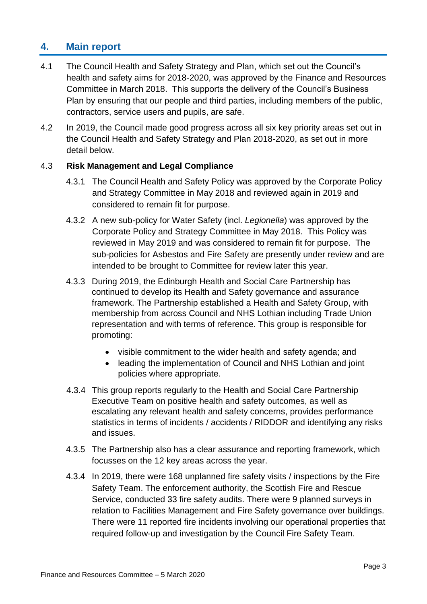# **4. Main report**

- 4.1 The Council Health and Safety Strategy and Plan, which set out the Council's health and safety aims for 2018-2020, was approved by the Finance and Resources Committee in March 2018. This supports the delivery of the Council's Business Plan by ensuring that our people and third parties, including members of the public, contractors, service users and pupils, are safe.
- 4.2 In 2019, the Council made good progress across all six key priority areas set out in the Council Health and Safety Strategy and Plan 2018-2020, as set out in more detail below.

#### 4.3 **Risk Management and Legal Compliance**

- 4.3.1 The Council Health and Safety Policy was approved by the Corporate Policy and Strategy Committee in May 2018 and reviewed again in 2019 and considered to remain fit for purpose.
- 4.3.2 A new sub-policy for Water Safety (incl. *Legionella*) was approved by the Corporate Policy and Strategy Committee in May 2018. This Policy was reviewed in May 2019 and was considered to remain fit for purpose. The sub-policies for Asbestos and Fire Safety are presently under review and are intended to be brought to Committee for review later this year.
- 4.3.3 During 2019, the Edinburgh Health and Social Care Partnership has continued to develop its Health and Safety governance and assurance framework. The Partnership established a Health and Safety Group, with membership from across Council and NHS Lothian including Trade Union representation and with terms of reference. This group is responsible for promoting:
	- visible commitment to the wider health and safety agenda; and
	- leading the implementation of Council and NHS Lothian and joint policies where appropriate.
- 4.3.4 This group reports regularly to the Health and Social Care Partnership Executive Team on positive health and safety outcomes, as well as escalating any relevant health and safety concerns, provides performance statistics in terms of incidents / accidents / RIDDOR and identifying any risks and issues.
- 4.3.5 The Partnership also has a clear assurance and reporting framework, which focusses on the 12 key areas across the year.
- 4.3.4 In 2019, there were 168 unplanned fire safety visits / inspections by the Fire Safety Team. The enforcement authority, the Scottish Fire and Rescue Service, conducted 33 fire safety audits. There were 9 planned surveys in relation to Facilities Management and Fire Safety governance over buildings. There were 11 reported fire incidents involving our operational properties that required follow-up and investigation by the Council Fire Safety Team.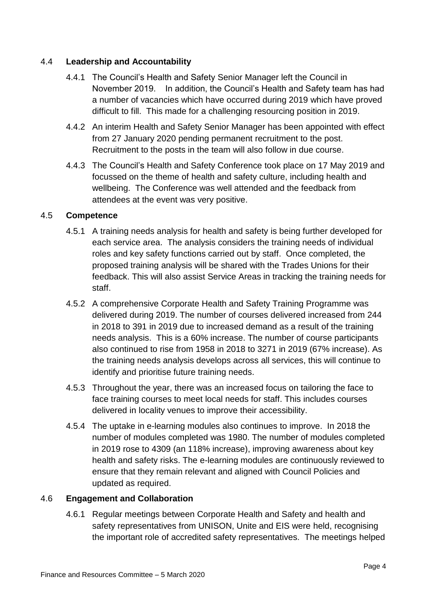#### 4.4 **Leadership and Accountability**

- 4.4.1 The Council's Health and Safety Senior Manager left the Council in November 2019. In addition, the Council's Health and Safety team has had a number of vacancies which have occurred during 2019 which have proved difficult to fill. This made for a challenging resourcing position in 2019.
- 4.4.2 An interim Health and Safety Senior Manager has been appointed with effect from 27 January 2020 pending permanent recruitment to the post. Recruitment to the posts in the team will also follow in due course.
- 4.4.3 The Council's Health and Safety Conference took place on 17 May 2019 and focussed on the theme of health and safety culture, including health and wellbeing. The Conference was well attended and the feedback from attendees at the event was very positive.

#### 4.5 **Competence**

- 4.5.1 A training needs analysis for health and safety is being further developed for each service area. The analysis considers the training needs of individual roles and key safety functions carried out by staff. Once completed, the proposed training analysis will be shared with the Trades Unions for their feedback. This will also assist Service Areas in tracking the training needs for staff.
- 4.5.2 A comprehensive Corporate Health and Safety Training Programme was delivered during 2019. The number of courses delivered increased from 244 in 2018 to 391 in 2019 due to increased demand as a result of the training needs analysis. This is a 60% increase. The number of course participants also continued to rise from 1958 in 2018 to 3271 in 2019 (67% increase). As the training needs analysis develops across all services, this will continue to identify and prioritise future training needs.
- 4.5.3 Throughout the year, there was an increased focus on tailoring the face to face training courses to meet local needs for staff. This includes courses delivered in locality venues to improve their accessibility.
- 4.5.4 The uptake in e-learning modules also continues to improve. In 2018 the number of modules completed was 1980. The number of modules completed in 2019 rose to 4309 (an 118% increase), improving awareness about key health and safety risks. The e-learning modules are continuously reviewed to ensure that they remain relevant and aligned with Council Policies and updated as required.

#### 4.6 **Engagement and Collaboration**

4.6.1 Regular meetings between Corporate Health and Safety and health and safety representatives from UNISON, Unite and EIS were held, recognising the important role of accredited safety representatives. The meetings helped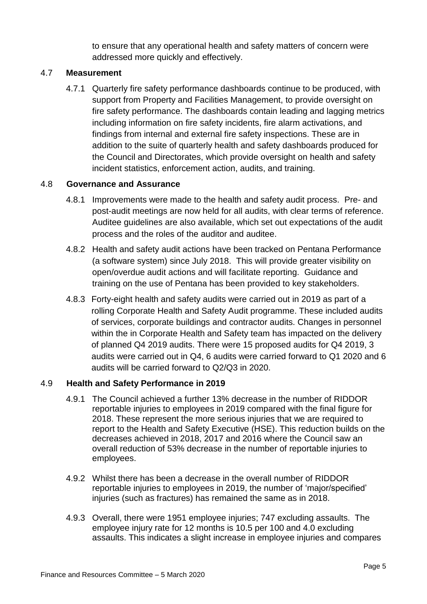to ensure that any operational health and safety matters of concern were addressed more quickly and effectively.

#### 4.7 **Measurement**

4.7.1 Quarterly fire safety performance dashboards continue to be produced, with support from Property and Facilities Management, to provide oversight on fire safety performance. The dashboards contain leading and lagging metrics including information on fire safety incidents, fire alarm activations, and findings from internal and external fire safety inspections. These are in addition to the suite of quarterly health and safety dashboards produced for the Council and Directorates, which provide oversight on health and safety incident statistics, enforcement action, audits, and training.

#### 4.8 **Governance and Assurance**

- 4.8.1 Improvements were made to the health and safety audit process. Pre- and post-audit meetings are now held for all audits, with clear terms of reference. Auditee guidelines are also available, which set out expectations of the audit process and the roles of the auditor and auditee.
- 4.8.2 Health and safety audit actions have been tracked on Pentana Performance (a software system) since July 2018. This will provide greater visibility on open/overdue audit actions and will facilitate reporting. Guidance and training on the use of Pentana has been provided to key stakeholders.
- 4.8.3 Forty-eight health and safety audits were carried out in 2019 as part of a rolling Corporate Health and Safety Audit programme. These included audits of services, corporate buildings and contractor audits. Changes in personnel within the in Corporate Health and Safety team has impacted on the delivery of planned Q4 2019 audits. There were 15 proposed audits for Q4 2019, 3 audits were carried out in Q4, 6 audits were carried forward to Q1 2020 and 6 audits will be carried forward to Q2/Q3 in 2020.

#### 4.9 **Health and Safety Performance in 2019**

- 4.9.1 The Council achieved a further 13% decrease in the number of RIDDOR reportable injuries to employees in 2019 compared with the final figure for 2018. These represent the more serious injuries that we are required to report to the Health and Safety Executive (HSE). This reduction builds on the decreases achieved in 2018, 2017 and 2016 where the Council saw an overall reduction of 53% decrease in the number of reportable injuries to employees.
- 4.9.2 Whilst there has been a decrease in the overall number of RIDDOR reportable injuries to employees in 2019, the number of 'major/specified' injuries (such as fractures) has remained the same as in 2018.
- 4.9.3 Overall, there were 1951 employee injuries; 747 excluding assaults. The employee injury rate for 12 months is 10.5 per 100 and 4.0 excluding assaults. This indicates a slight increase in employee injuries and compares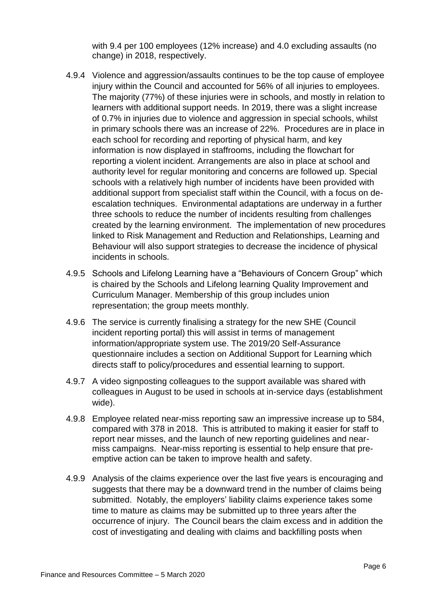with 9.4 per 100 employees (12% increase) and 4.0 excluding assaults (no change) in 2018, respectively.

- 4.9.4 Violence and aggression/assaults continues to be the top cause of employee injury within the Council and accounted for 56% of all injuries to employees. The majority (77%) of these injuries were in schools, and mostly in relation to learners with additional support needs. In 2019, there was a slight increase of 0.7% in injuries due to violence and aggression in special schools, whilst in primary schools there was an increase of 22%. Procedures are in place in each school for recording and reporting of physical harm, and key information is now displayed in staffrooms, including the flowchart for reporting a violent incident. Arrangements are also in place at school and authority level for regular monitoring and concerns are followed up. Special schools with a relatively high number of incidents have been provided with additional support from specialist staff within the Council, with a focus on deescalation techniques. Environmental adaptations are underway in a further three schools to reduce the number of incidents resulting from challenges created by the learning environment. The implementation of new procedures linked to Risk Management and Reduction and Relationships, Learning and Behaviour will also support strategies to decrease the incidence of physical incidents in schools.
- 4.9.5 Schools and Lifelong Learning have a "Behaviours of Concern Group" which is chaired by the Schools and Lifelong learning Quality Improvement and Curriculum Manager. Membership of this group includes union representation; the group meets monthly.
- 4.9.6 The service is currently finalising a strategy for the new SHE (Council incident reporting portal) this will assist in terms of management information/appropriate system use. The 2019/20 Self-Assurance questionnaire includes a section on Additional Support for Learning which directs staff to policy/procedures and essential learning to support.
- 4.9.7 A video signposting colleagues to the support available was shared with colleagues in August to be used in schools at in-service days (establishment wide).
- 4.9.8 Employee related near-miss reporting saw an impressive increase up to 584, compared with 378 in 2018. This is attributed to making it easier for staff to report near misses, and the launch of new reporting guidelines and nearmiss campaigns. Near-miss reporting is essential to help ensure that preemptive action can be taken to improve health and safety.
- 4.9.9 Analysis of the claims experience over the last five years is encouraging and suggests that there may be a downward trend in the number of claims being submitted. Notably, the employers' liability claims experience takes some time to mature as claims may be submitted up to three years after the occurrence of injury. The Council bears the claim excess and in addition the cost of investigating and dealing with claims and backfilling posts when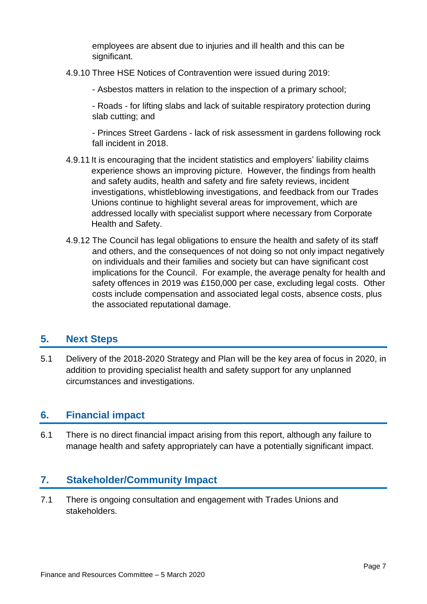employees are absent due to injuries and ill health and this can be significant.

- 4.9.10 Three HSE Notices of Contravention were issued during 2019:
	- Asbestos matters in relation to the inspection of a primary school;

- Roads - for lifting slabs and lack of suitable respiratory protection during slab cutting; and

- Princes Street Gardens - lack of risk assessment in gardens following rock fall incident in 2018.

- 4.9.11 It is encouraging that the incident statistics and employers' liability claims experience shows an improving picture. However, the findings from health and safety audits, health and safety and fire safety reviews, incident investigations, whistleblowing investigations, and feedback from our Trades Unions continue to highlight several areas for improvement, which are addressed locally with specialist support where necessary from Corporate Health and Safety.
- 4.9.12 The Council has legal obligations to ensure the health and safety of its staff and others, and the consequences of not doing so not only impact negatively on individuals and their families and society but can have significant cost implications for the Council. For example, the average penalty for health and safety offences in 2019 was £150,000 per case, excluding legal costs. Other costs include compensation and associated legal costs, absence costs, plus the associated reputational damage.

## **5. Next Steps**

5.1 Delivery of the 2018-2020 Strategy and Plan will be the key area of focus in 2020, in addition to providing specialist health and safety support for any unplanned circumstances and investigations.

#### **6. Financial impact**

6.1 There is no direct financial impact arising from this report, although any failure to manage health and safety appropriately can have a potentially significant impact.

## **7. Stakeholder/Community Impact**

7.1 There is ongoing consultation and engagement with Trades Unions and stakeholders.